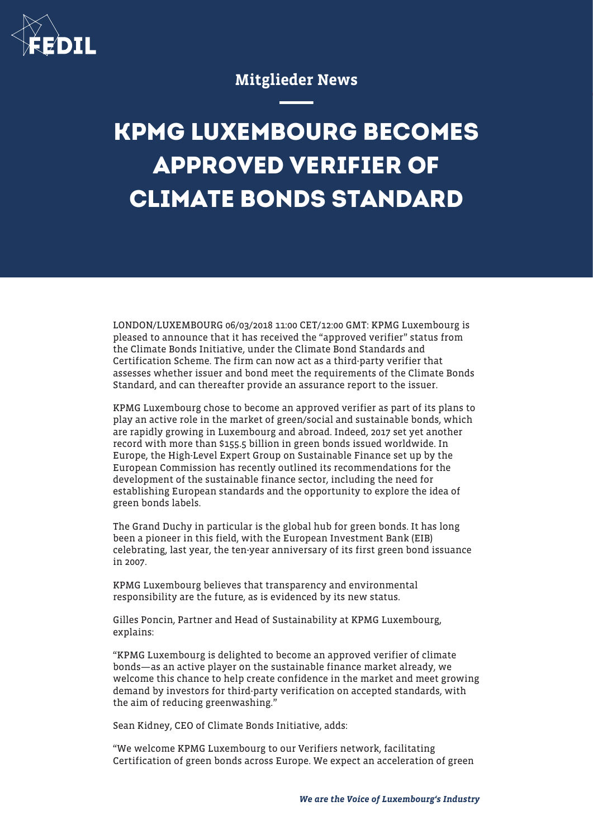

## Mitglieder News

## **KPMG LUXEMBOURG BECOMES APPROVED VERIFIER OF CLIMATE BONDS STANDARD**

LONDON/LUXEMBOURG 06/03/2018 11:00 CET/12:00 GMT: KPMG Luxembourg is pleased to announce that it has received the "approved verifier" status from the Climate Bonds Initiative, under the Climate Bond Standards and Certification Scheme. The firm can now act as a third-party verifier that assesses whether issuer and bond meet the requirements of the Climate Bonds Standard, and can thereafter provide an assurance report to the issuer.

KPMG Luxembourg chose to become an approved verifier as part of its plans to play an active role in the market of green/social and sustainable bonds, which are rapidly growing in Luxembourg and abroad. Indeed, 2017 set yet another record with more than \$155.5 billion in green bonds issued worldwide. In Europe, the High-Level Expert Group on Sustainable Finance set up by the European Commission has recently outlined its recommendations for the development of the sustainable finance sector, including the need for establishing European standards and the opportunity to explore the idea of green bonds labels.

The Grand Duchy in particular is the global hub for green bonds. It has long been a pioneer in this field, with the European Investment Bank (EIB) celebrating, last year, the ten-year anniversary of its first green bond issuance in 2007.

KPMG Luxembourg believes that transparency and environmental responsibility are the future, as is evidenced by its new status.

Gilles Poncin, Partner and Head of Sustainability at KPMG Luxembourg, explains:

"KPMG Luxembourg is delighted to become an approved verifier of climate bonds—as an active player on the sustainable finance market already, we welcome this chance to help create confidence in the market and meet growing demand by investors for third-party verification on accepted standards, with the aim of reducing greenwashing."

Sean Kidney, CEO of Climate Bonds Initiative, adds:

"We welcome KPMG Luxembourg to our Verifiers network, facilitating Certification of green bonds across Europe. We expect an acceleration of green